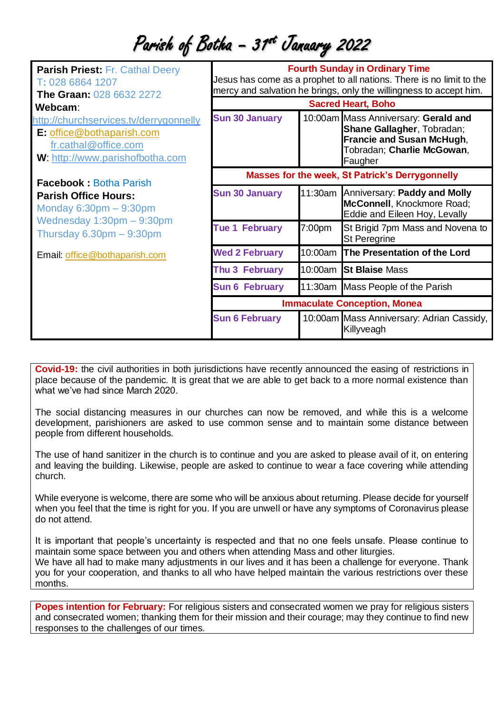Parish of Botha – 31<sup>st</sup> January 2022

| <b>Parish Priest: Fr. Cathal Deery</b><br>T: 028 6864 1207<br><b>The Graan: 028 6632 2272</b>                                                            | <b>Fourth Sunday in Ordinary Time</b><br>Jesus has come as a prophet to all nations. There is no limit to the<br>mercy and salvation he brings, only the willingness to accept him.<br><b>Sacred Heart, Boho</b> |         |                                                                                                                                                 |
|----------------------------------------------------------------------------------------------------------------------------------------------------------|------------------------------------------------------------------------------------------------------------------------------------------------------------------------------------------------------------------|---------|-------------------------------------------------------------------------------------------------------------------------------------------------|
| Webcam:                                                                                                                                                  |                                                                                                                                                                                                                  |         |                                                                                                                                                 |
| http://churchservices.tv/derrygonnelly<br><b>E:</b> office@bothaparish.com<br>fr.cathal@office.com<br>W: http://www.parishofbotha.com                    | <b>Sun 30 January</b>                                                                                                                                                                                            |         | 10:00am Mass Anniversary: Gerald and<br>Shane Gallagher, Tobradan;<br><b>Francie and Susan McHugh,</b><br>Tobradan; Charlie McGowan,<br>Faugher |
| <b>Facebook: Botha Parish</b><br><b>Parish Office Hours:</b><br>Monday $6:30pm - 9:30pm$<br>Wednesday $1:30$ pm $-9:30$ pm<br>Thursday $6.30pm - 9:30pm$ | Masses for the week, St Patrick's Derrygonnelly                                                                                                                                                                  |         |                                                                                                                                                 |
|                                                                                                                                                          | <b>Sun 30 January</b>                                                                                                                                                                                            |         | 11:30am Anniversary: Paddy and Molly<br>McConnell, Knockmore Road;<br>Eddie and Eileen Hoy, Levally                                             |
|                                                                                                                                                          | <b>Tue 1 February</b>                                                                                                                                                                                            | 7:00pm  | St Brigid 7pm Mass and Novena to<br><b>St Peregrine</b>                                                                                         |
| Email: office@bothaparish.com                                                                                                                            | <b>Wed 2 February</b>                                                                                                                                                                                            | 10:00am | <b>The Presentation of the Lord</b>                                                                                                             |
|                                                                                                                                                          | Thu 3 February                                                                                                                                                                                                   |         | 10:00am St Blaise Mass                                                                                                                          |
|                                                                                                                                                          | <b>Sun 6 February</b>                                                                                                                                                                                            |         | 11:30am Mass People of the Parish                                                                                                               |
|                                                                                                                                                          | <b>Immaculate Conception, Monea</b>                                                                                                                                                                              |         |                                                                                                                                                 |
|                                                                                                                                                          | <b>Sun 6 February</b>                                                                                                                                                                                            |         | 10:00am Mass Anniversary: Adrian Cassidy,<br>Killyveagh                                                                                         |

**Covid-19:** the civil authorities in both jurisdictions have recently announced the easing of restrictions in place because of the pandemic. It is great that we are able to get back to a more normal existence than what we've had since March 2020.

The social distancing measures in our churches can now be removed, and while this is a welcome development, parishioners are asked to use common sense and to maintain some distance between people from different households.

The use of hand sanitizer in the church is to continue and you are asked to please avail of it, on entering and leaving the building. Likewise, people are asked to continue to wear a face covering while attending church.

While everyone is welcome, there are some who will be anxious about returning. Please decide for yourself when you feel that the time is right for you. If you are unwell or have any symptoms of Coronavirus please do not attend.

It is important that people's uncertainty is respected and that no one feels unsafe. Please continue to maintain some space between you and others when attending Mass and other liturgies. We have all had to make many adjustments in our lives and it has been a challenge for everyone. Thank you for your cooperation, and thanks to all who have helped maintain the various restrictions over these months.

**Popes intention for February:** For religious sisters and consecrated women we pray for religious sisters and consecrated women; thanking them for their mission and their courage; may they continue to find new responses to the challenges of our times.